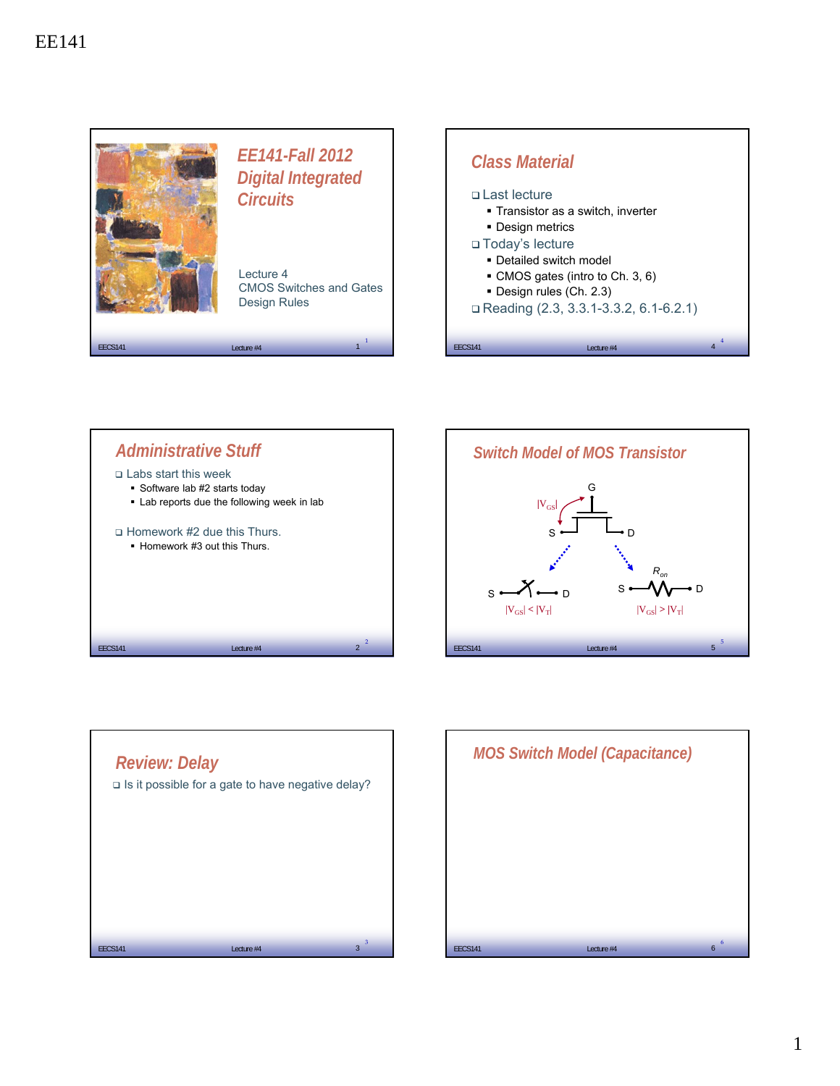







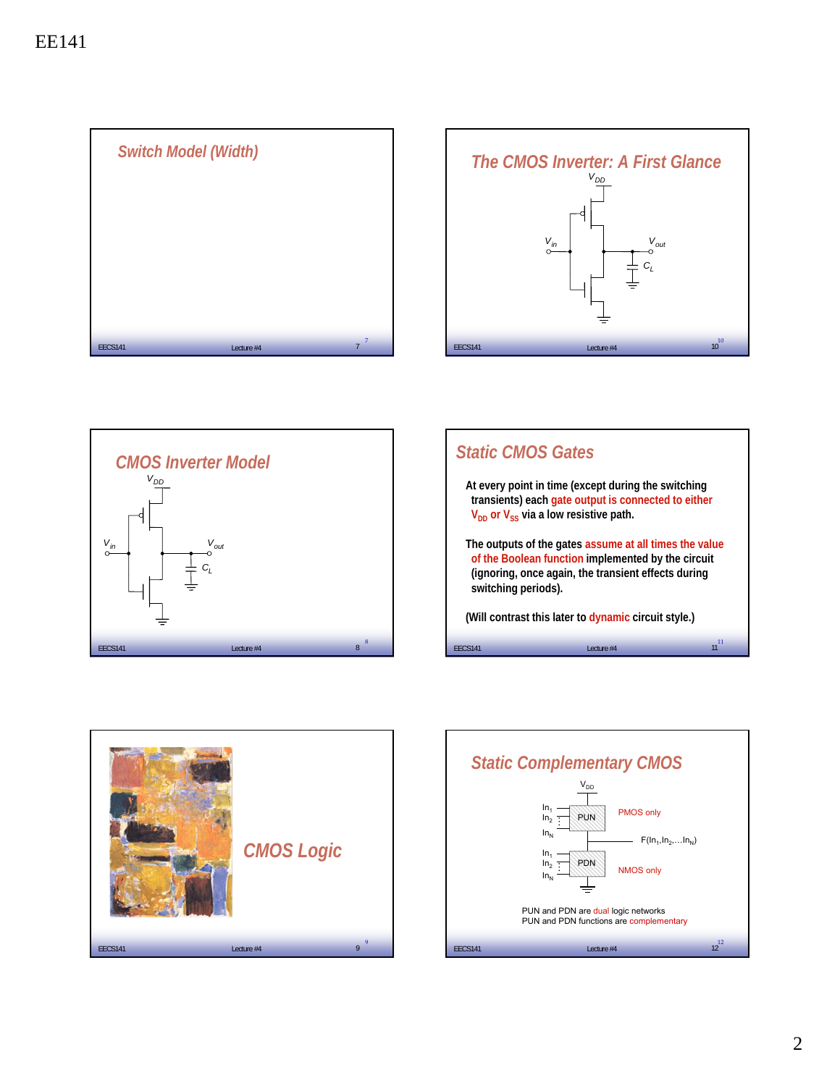









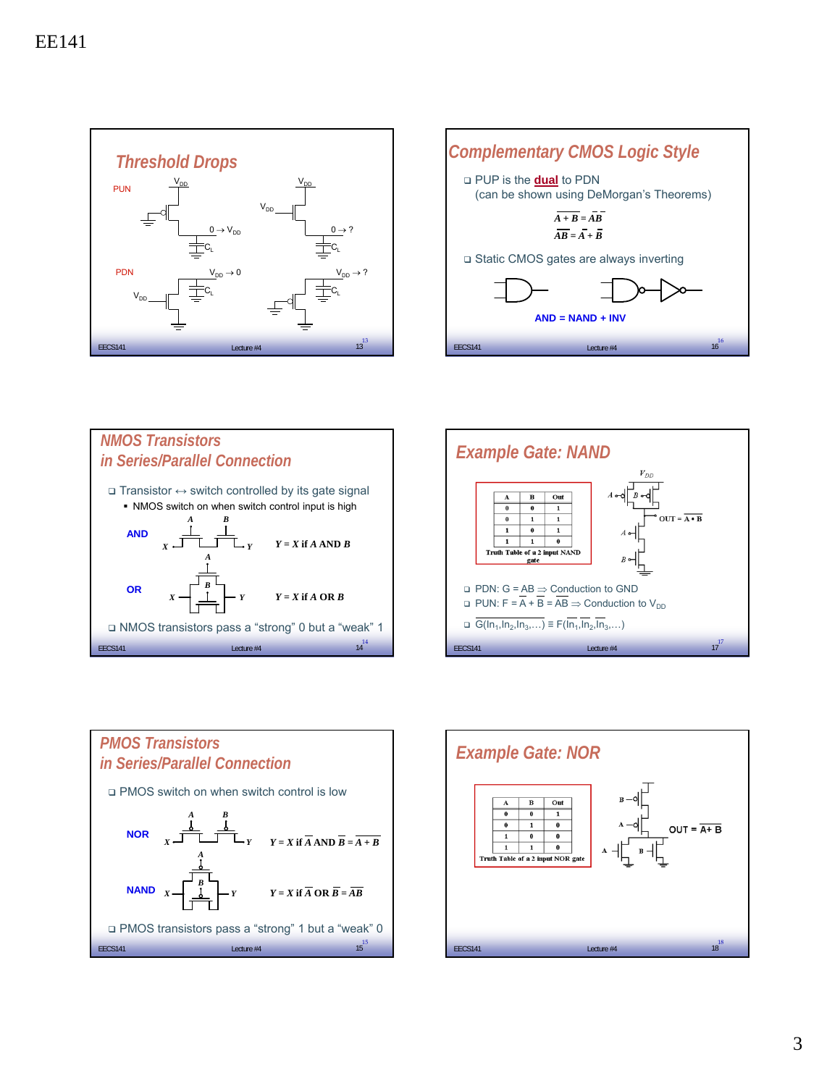









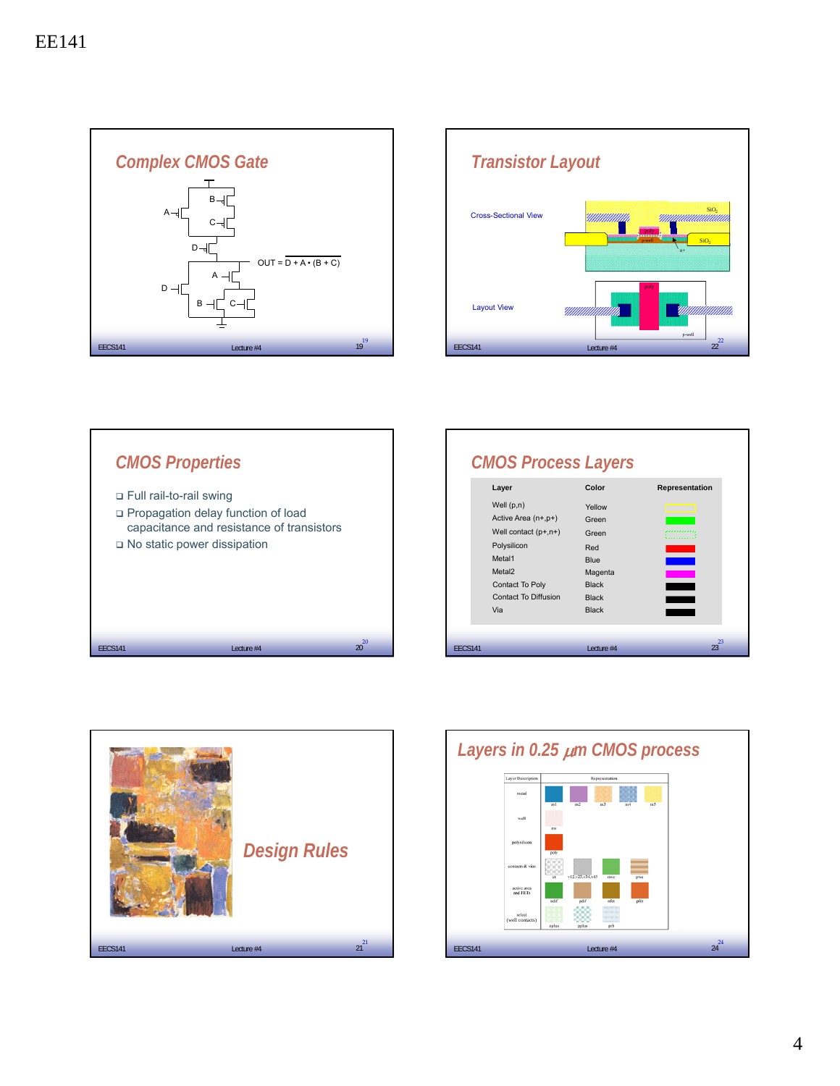





| Layer                                                                                                                                                          | Color                                                                                                     | Representation |
|----------------------------------------------------------------------------------------------------------------------------------------------------------------|-----------------------------------------------------------------------------------------------------------|----------------|
| Well $(p,n)$<br>Active Area (n+,p+)<br>Well contact $(p+,n+)$<br>Polysilicon<br>Metal1<br>Metal <sub>2</sub><br>Contact To Poly<br>Contact To Diffusion<br>Via | Yellow<br>Green<br>Green<br>Red<br><b>Blue</b><br>Magenta<br><b>Black</b><br><b>Black</b><br><b>Black</b> |                |
| <b>EECS141</b>                                                                                                                                                 | Lecture #4                                                                                                | $23^{23}$      |



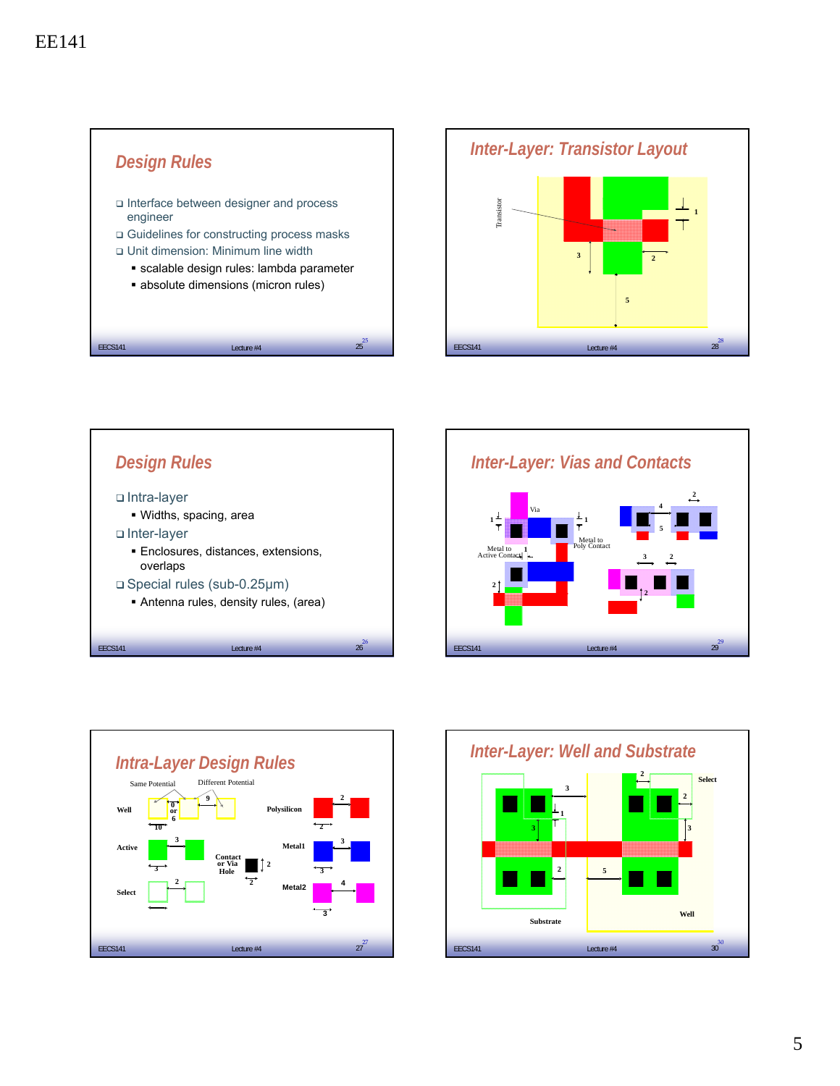









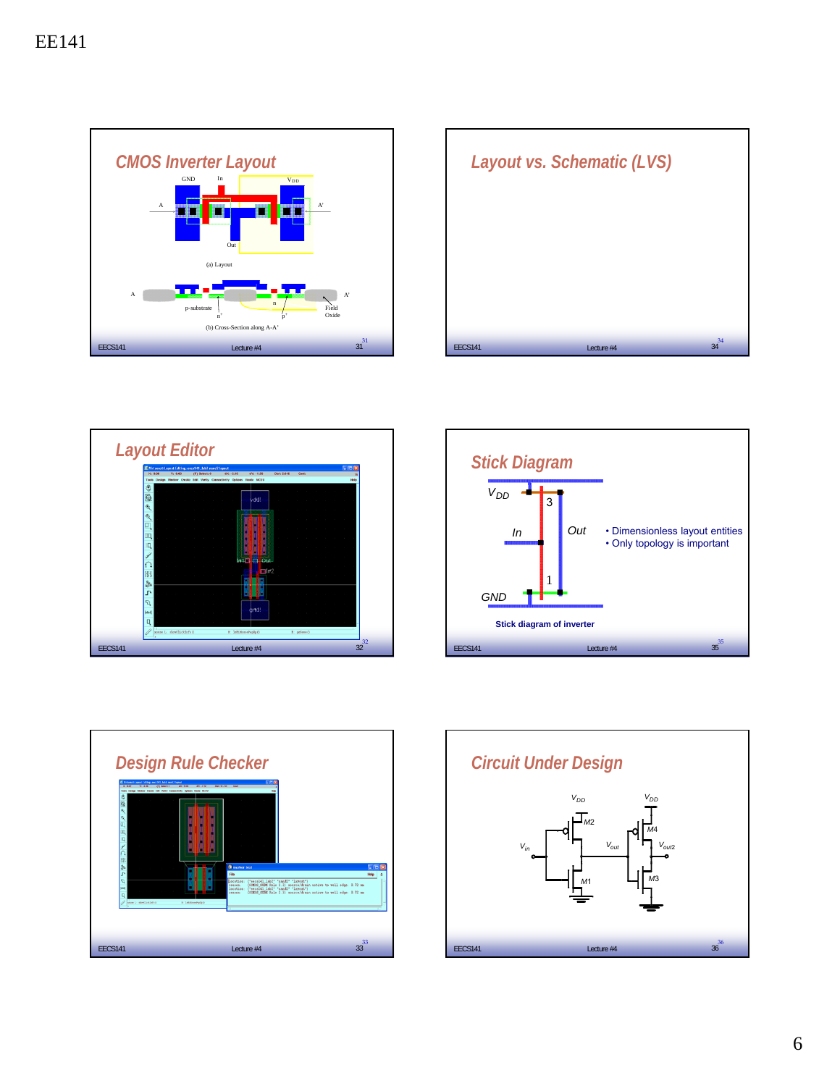